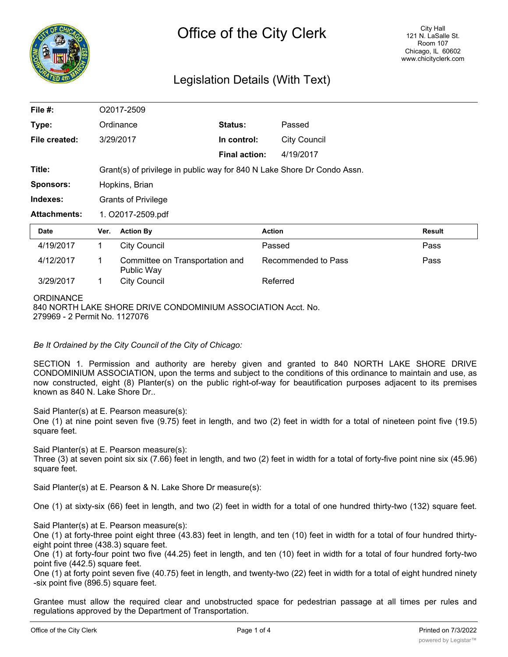

## Legislation Details (With Text)

| File #:             | O2017-2509                                                              |                                               |                      |                     |               |
|---------------------|-------------------------------------------------------------------------|-----------------------------------------------|----------------------|---------------------|---------------|
| Type:               |                                                                         | Ordinance                                     | <b>Status:</b>       | Passed              |               |
| File created:       |                                                                         | 3/29/2017                                     | In control:          | <b>City Council</b> |               |
|                     |                                                                         |                                               | <b>Final action:</b> | 4/19/2017           |               |
| Title:              | Grant(s) of privilege in public way for 840 N Lake Shore Dr Condo Assn. |                                               |                      |                     |               |
| <b>Sponsors:</b>    | Hopkins, Brian                                                          |                                               |                      |                     |               |
| Indexes:            | <b>Grants of Privilege</b>                                              |                                               |                      |                     |               |
| <b>Attachments:</b> | 1. O2017-2509.pdf                                                       |                                               |                      |                     |               |
| <b>Date</b>         | Ver.                                                                    | <b>Action By</b>                              |                      | <b>Action</b>       | <b>Result</b> |
| 4/19/2017           | 1                                                                       | <b>City Council</b>                           |                      | Passed              | Pass          |
| 4/12/2017           | 1                                                                       | Committee on Transportation and<br>Public Way |                      | Recommended to Pass | Pass          |
| 3/29/2017           | 1                                                                       | <b>City Council</b>                           |                      | Referred            |               |
| <b>ORDINANCE</b>    |                                                                         |                                               |                      |                     |               |

840 NORTH LAKE SHORE DRIVE CONDOMINIUM ASSOCIATION Acct. No. 279969 - 2 Permit No. 1127076

*Be It Ordained by the City Council of the City of Chicago:*

SECTION 1. Permission and authority are hereby given and granted to 840 NORTH LAKE SHORE DRIVE CONDOMINIUM ASSOCIATION, upon the terms and subject to the conditions of this ordinance to maintain and use, as now constructed, eight (8) Planter(s) on the public right-of-way for beautification purposes adjacent to its premises known as 840 N. Lake Shore Dr..

Said Planter(s) at E. Pearson measure(s):

One (1) at nine point seven five (9.75) feet in length, and two (2) feet in width for a total of nineteen point five (19.5) square feet.

Said Planter(s) at E. Pearson measure(s):

Three (3) at seven point six six (7.66) feet in length, and two (2) feet in width for a total of forty-five point nine six (45.96) square feet.

Said Planter(s) at E. Pearson & N. Lake Shore Dr measure(s):

One (1) at sixty-six (66) feet in length, and two (2) feet in width for a total of one hundred thirty-two (132) square feet.

Said Planter(s) at E. Pearson measure(s):

One (1) at forty-three point eight three (43.83) feet in length, and ten (10) feet in width for a total of four hundred thirtyeight point three (438.3) square feet.

One (1) at forty-four point two five (44.25) feet in length, and ten (10) feet in width for a total of four hundred forty-two point five (442.5) square feet.

One (1) at forty point seven five (40.75) feet in length, and twenty-two (22) feet in width for a total of eight hundred ninety -six point five (896.5) square feet.

Grantee must allow the required clear and unobstructed space for pedestrian passage at all times per rules and regulations approved by the Department of Transportation.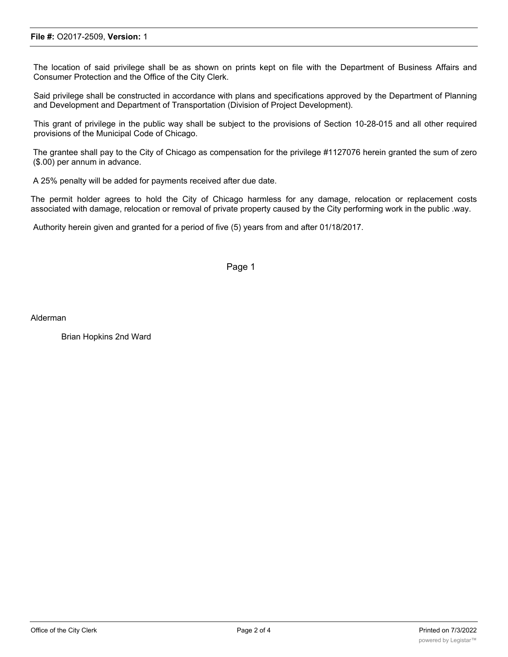The location of said privilege shall be as shown on prints kept on file with the Department of Business Affairs and Consumer Protection and the Office of the City Clerk.

Said privilege shall be constructed in accordance with plans and specifications approved by the Department of Planning and Development and Department of Transportation (Division of Project Development).

This grant of privilege in the public way shall be subject to the provisions of Section 10-28-015 and all other required provisions of the Municipal Code of Chicago.

The grantee shall pay to the City of Chicago as compensation for the privilege #1127076 herein granted the sum of zero (\$.00) per annum in advance.

A 25% penalty will be added for payments received after due date.

The permit holder agrees to hold the City of Chicago harmless for any damage, relocation or replacement costs associated with damage, relocation or removal of private property caused by the City performing work in the public .way.

Authority herein given and granted for a period of five (5) years from and after 01/18/2017.

Page 1

Alderman

Brian Hopkins 2nd Ward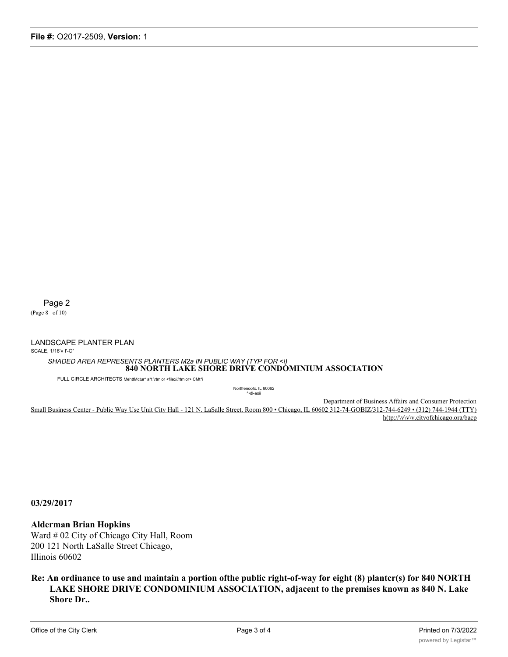Page 2

(Page 8 of 10)

LANDSCAPE PLANTER PLAN

SCALE, 1/16'» I'-O"

*SHADED AREA REPRESENTS PLANTERS M2a IN PUBLIC WAY (TYP FOR <\)* **840 NORTH LAKE SHORE DRIVE CONDOMINIUM ASSOCIATION**

FULL CIRCLE ARCHITECTS MehttMctur\* a\*t \rtmlor <file:///rtmlor> CMt^i

Nortffenoofc. IL 60062 ^•dl-aoii

Department of Business Affairs and Consumer Protection Small Business Center - Public Way Use Unit City Hall - 121 N. LaSalle Street. Room 800 • Chicago, IL 60602 312-74-GOBIZ/312-744-6249 • (312) 744-1944 (TTY) h(tp://www.citvofchicago.ora/bacp

**03/29/2017**

**Alderman Brian Hopkins**

Ward # 02 City of Chicago City Hall, Room 200 121 North LaSalle Street Chicago, Illinois 60602

**Re: An ordinance to use and maintain a portion ofthe public right-of-way for eight (8) plantcr(s) for 840 NORTH LAKE SHORE DRIVE CONDOMINIUM ASSOCIATION, adjacent to the premises known as 840 N. Lake Shore Dr..**